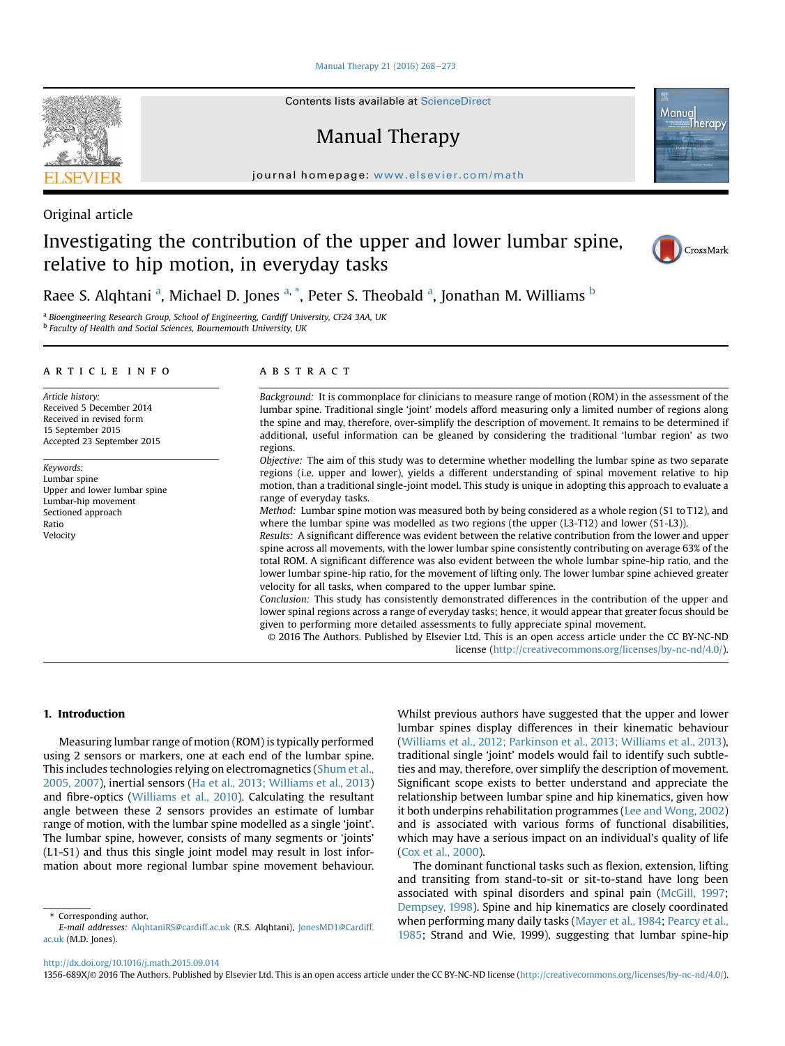[Manual Therapy 21 \(2016\) 268](http://dx.doi.org/10.1016/j.math.2015.09.014)-[273](http://dx.doi.org/10.1016/j.math.2015.09.014)

Contents lists available at ScienceDirect

Manual Therapy

journal homepage: [www.elsevier.com/math](http://www.elsevier.com/math)



# Investigating the contribution of the upper and lower lumbar spine, relative to hip motion, in everyday tasks



Manug

Therapy

Raee S. Alqhtani <sup>a</sup>, Michael D. Jones <sup>a, \*</sup>, Peter S. Theobald <sup>a</sup>, Jonathan M. Williams <sup>b</sup>

<sup>a</sup> Bioengineering Research Group, School of Engineering, Cardiff University, CF24 3AA, UK **b** Faculty of Health and Social Sciences, Bournemouth University, UK

## article info

Article history: Received 5 December 2014 Received in revised form 15 September 2015 Accepted 23 September 2015

Keywords: Lumbar spine Upper and lower lumbar spine Lumbar-hip movement Sectioned approach Ratio Velocity

## ABSTRACT

Background: It is commonplace for clinicians to measure range of motion (ROM) in the assessment of the lumbar spine. Traditional single 'joint' models afford measuring only a limited number of regions along the spine and may, therefore, over-simplify the description of movement. It remains to be determined if additional, useful information can be gleaned by considering the traditional 'lumbar region' as two regions.

Objective: The aim of this study was to determine whether modelling the lumbar spine as two separate regions (i.e. upper and lower), yields a different understanding of spinal movement relative to hip motion, than a traditional single-joint model. This study is unique in adopting this approach to evaluate a range of everyday tasks.

Method: Lumbar spine motion was measured both by being considered as a whole region (S1 to T12), and where the lumbar spine was modelled as two regions (the upper (L3-T12) and lower (S1-L3)).

Results: A significant difference was evident between the relative contribution from the lower and upper spine across all movements, with the lower lumbar spine consistently contributing on average 63% of the total ROM. A significant difference was also evident between the whole lumbar spine-hip ratio, and the lower lumbar spine-hip ratio, for the movement of lifting only. The lower lumbar spine achieved greater velocity for all tasks, when compared to the upper lumbar spine.

Conclusion: This study has consistently demonstrated differences in the contribution of the upper and lower spinal regions across a range of everyday tasks; hence, it would appear that greater focus should be given to performing more detailed assessments to fully appreciate spinal movement.

© 2016 The Authors. Published by Elsevier Ltd. This is an open access article under the CC BY-NC-ND license [\(http://creativecommons.org/licenses/by-nc-nd/4.0/](http://creativecommons.org/licenses/by-nc-nd/4.�0/)).

# 1. Introduction

Measuring lumbar range of motion (ROM) is typically performed using 2 sensors or markers, one at each end of the lumbar spine. This includes technologies relying on electromagnetics ([Shum et al.,](#page-5-0) [2005, 2007](#page-5-0)), inertial sensors ([Ha et al., 2013; Williams et al., 2013\)](#page-5-0) and fibre-optics [\(Williams et al., 2010](#page-5-0)). Calculating the resultant angle between these 2 sensors provides an estimate of lumbar range of motion, with the lumbar spine modelled as a single 'joint'. The lumbar spine, however, consists of many segments or 'joints' (L1-S1) and thus this single joint model may result in lost information about more regional lumbar spine movement behaviour. Whilst previous authors have suggested that the upper and lower lumbar spines display differences in their kinematic behaviour ([Williams et al., 2012; Parkinson et al., 2013; Williams et al., 2013\)](#page-5-0), traditional single 'joint' models would fail to identify such subtleties and may, therefore, over simplify the description of movement. Significant scope exists to better understand and appreciate the relationship between lumbar spine and hip kinematics, given how it both underpins rehabilitation programmes [\(Lee and Wong, 2002\)](#page-5-0) and is associated with various forms of functional disabilities, which may have a serious impact on an individual's quality of life ([Cox et al., 2000](#page-5-0)).

The dominant functional tasks such as flexion, extension, lifting and transiting from stand-to-sit or sit-to-stand have long been associated with spinal disorders and spinal pain ([McGill, 1997](#page-5-0); [Dempsey, 1998\)](#page-5-0). Spine and hip kinematics are closely coordinated when performing many daily tasks ([Mayer et al., 1984;](#page-5-0) [Pearcy et al.,](#page-5-0) [1985](#page-5-0); Strand and Wie, 1999), suggesting that lumbar spine-hip

1356-689X/© 2016 The Authors. Published by Elsevier Ltd. This is an open access article under the CC BY-NC-ND license ([http://creativecommons.org/licenses/by-nc-nd/4.0/\)](http://creativecommons.org/licenses/by-nc-nd/4.�0/).



<sup>\*</sup> Corresponding author.

E-mail addresses: [AlqhtaniRS@cardiff.ac.uk](mailto:AlqhtaniRS@cardiff.ac.uk) (R.S. Alqhtani), [JonesMD1@Cardiff.](mailto:JonesMD1@Cardiff.ac.uk) [ac.uk](mailto:JonesMD1@Cardiff.ac.uk) (M.D. Jones).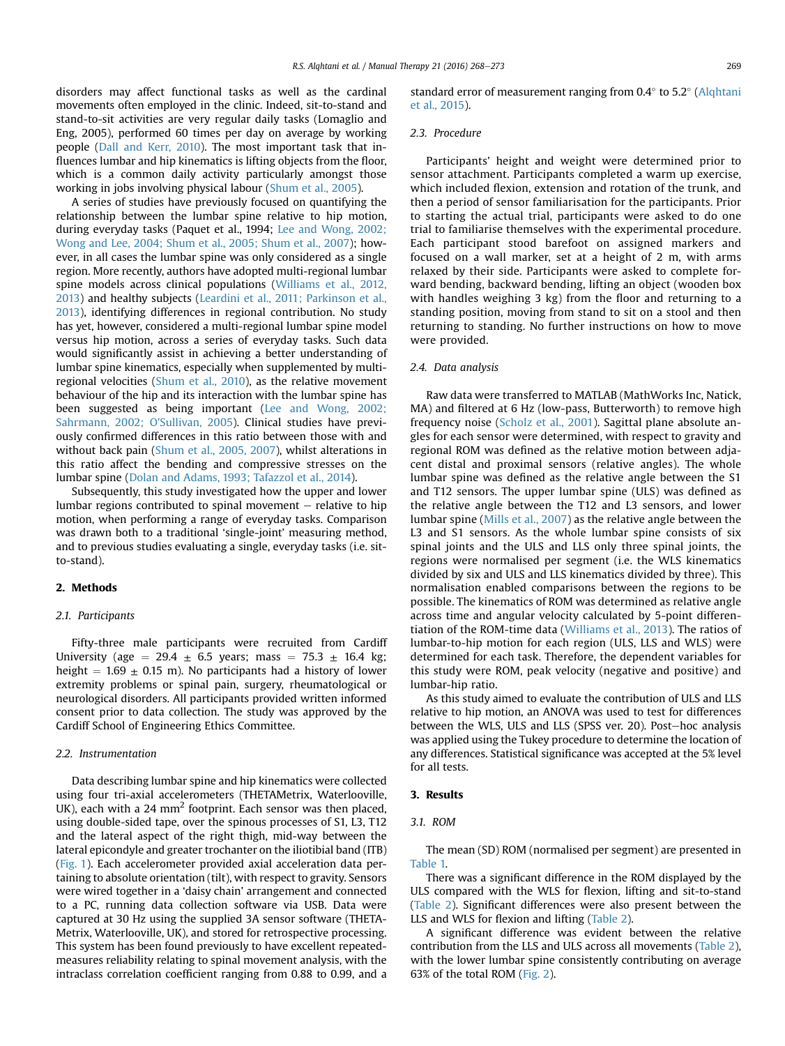disorders may affect functional tasks as well as the cardinal movements often employed in the clinic. Indeed, sit-to-stand and stand-to-sit activities are very regular daily tasks (Lomaglio and Eng, 2005), performed 60 times per day on average by working people [\(Dall and Kerr, 2010](#page-5-0)). The most important task that influences lumbar and hip kinematics is lifting objects from the floor, which is a common daily activity particularly amongst those working in jobs involving physical labour ([Shum et al., 2005](#page-5-0)).

A series of studies have previously focused on quantifying the relationship between the lumbar spine relative to hip motion, during everyday tasks (Paquet et al., 1994; [Lee and Wong, 2002;](#page-5-0) [Wong and Lee, 2004; Shum et al., 2005; Shum et al., 2007](#page-5-0)); however, in all cases the lumbar spine was only considered as a single region. More recently, authors have adopted multi-regional lumbar spine models across clinical populations [\(Williams et al., 2012,](#page-5-0) [2013\)](#page-5-0) and healthy subjects ([Leardini et al., 2011; Parkinson et al.,](#page-5-0) [2013\)](#page-5-0), identifying differences in regional contribution. No study has yet, however, considered a multi-regional lumbar spine model versus hip motion, across a series of everyday tasks. Such data would significantly assist in achieving a better understanding of lumbar spine kinematics, especially when supplemented by multiregional velocities [\(Shum et al., 2010](#page-5-0)), as the relative movement behaviour of the hip and its interaction with the lumbar spine has been suggested as being important ([Lee and Wong, 2002;](#page-5-0) [Sahrmann, 2002; O'Sullivan, 2005\)](#page-5-0). Clinical studies have previously confirmed differences in this ratio between those with and without back pain ([Shum et al., 2005, 2007](#page-5-0)), whilst alterations in this ratio affect the bending and compressive stresses on the lumbar spine [\(Dolan and Adams, 1993; Tafazzol et al., 2014](#page-5-0)).

Subsequently, this study investigated how the upper and lower lumbar regions contributed to spinal movement  $-$  relative to hip motion, when performing a range of everyday tasks. Comparison was drawn both to a traditional 'single-joint' measuring method, and to previous studies evaluating a single, everyday tasks (i.e. sitto-stand).

## 2. Methods

#### 2.1. Participants

Fifty-three male participants were recruited from Cardiff University (age = 29.4  $\pm$  6.5 years; mass = 75.3  $\pm$  16.4 kg; height  $= 1.69 \pm 0.15$  m). No participants had a history of lower extremity problems or spinal pain, surgery, rheumatological or neurological disorders. All participants provided written informed consent prior to data collection. The study was approved by the Cardiff School of Engineering Ethics Committee.

## 2.2. Instrumentation

Data describing lumbar spine and hip kinematics were collected using four tri-axial accelerometers (THETAMetrix, Waterlooville, UK), each with a 24  $mm<sup>2</sup>$  footprint. Each sensor was then placed, using double-sided tape, over the spinous processes of S1, L3, T12 and the lateral aspect of the right thigh, mid-way between the lateral epicondyle and greater trochanter on the iliotibial band (ITB) ([Fig. 1\)](#page-2-0). Each accelerometer provided axial acceleration data pertaining to absolute orientation (tilt), with respect to gravity. Sensors were wired together in a 'daisy chain' arrangement and connected to a PC, running data collection software via USB. Data were captured at 30 Hz using the supplied 3A sensor software (THETA-Metrix, Waterlooville, UK), and stored for retrospective processing. This system has been found previously to have excellent repeatedmeasures reliability relating to spinal movement analysis, with the intraclass correlation coefficient ranging from 0.88 to 0.99, and a

standard error of measurement ranging from 0.4 $^{\circ}$  to 5.2 $^{\circ}$  [\(Alqhtani](#page-4-0) [et al., 2015](#page-4-0)).

# 2.3. Procedure

Participants' height and weight were determined prior to sensor attachment. Participants completed a warm up exercise, which included flexion, extension and rotation of the trunk, and then a period of sensor familiarisation for the participants. Prior to starting the actual trial, participants were asked to do one trial to familiarise themselves with the experimental procedure. Each participant stood barefoot on assigned markers and focused on a wall marker, set at a height of 2 m, with arms relaxed by their side. Participants were asked to complete forward bending, backward bending, lifting an object (wooden box with handles weighing 3 kg) from the floor and returning to a standing position, moving from stand to sit on a stool and then returning to standing. No further instructions on how to move were provided.

#### 2.4. Data analysis

Raw data were transferred to MATLAB (MathWorks Inc, Natick, MA) and filtered at 6 Hz (low-pass, Butterworth) to remove high frequency noise [\(Scholz et al., 2001](#page-5-0)). Sagittal plane absolute angles for each sensor were determined, with respect to gravity and regional ROM was defined as the relative motion between adjacent distal and proximal sensors (relative angles). The whole lumbar spine was defined as the relative angle between the S1 and T12 sensors. The upper lumbar spine (ULS) was defined as the relative angle between the T12 and L3 sensors, and lower lumbar spine [\(Mills et al., 2007](#page-5-0)) as the relative angle between the L3 and S1 sensors. As the whole lumbar spine consists of six spinal joints and the ULS and LLS only three spinal joints, the regions were normalised per segment (i.e. the WLS kinematics divided by six and ULS and LLS kinematics divided by three). This normalisation enabled comparisons between the regions to be possible. The kinematics of ROM was determined as relative angle across time and angular velocity calculated by 5-point differentiation of the ROM-time data ([Williams et al., 2013](#page-5-0)). The ratios of lumbar-to-hip motion for each region (ULS, LLS and WLS) were determined for each task. Therefore, the dependent variables for this study were ROM, peak velocity (negative and positive) and lumbar-hip ratio.

As this study aimed to evaluate the contribution of ULS and LLS relative to hip motion, an ANOVA was used to test for differences between the WLS, ULS and LLS (SPSS ver. 20). Post-hoc analysis was applied using the Tukey procedure to determine the location of any differences. Statistical significance was accepted at the 5% level for all tests.

# 3. Results

# 3.1. ROM

The mean (SD) ROM (normalised per segment) are presented in [Table 1.](#page-2-0)

There was a significant difference in the ROM displayed by the ULS compared with the WLS for flexion, lifting and sit-to-stand ([Table 2\)](#page-2-0). Significant differences were also present between the LLS and WLS for flexion and lifting [\(Table 2](#page-2-0)).

A significant difference was evident between the relative contribution from the LLS and ULS across all movements ([Table 2\)](#page-2-0), with the lower lumbar spine consistently contributing on average 63% of the total ROM ([Fig. 2](#page-3-0)).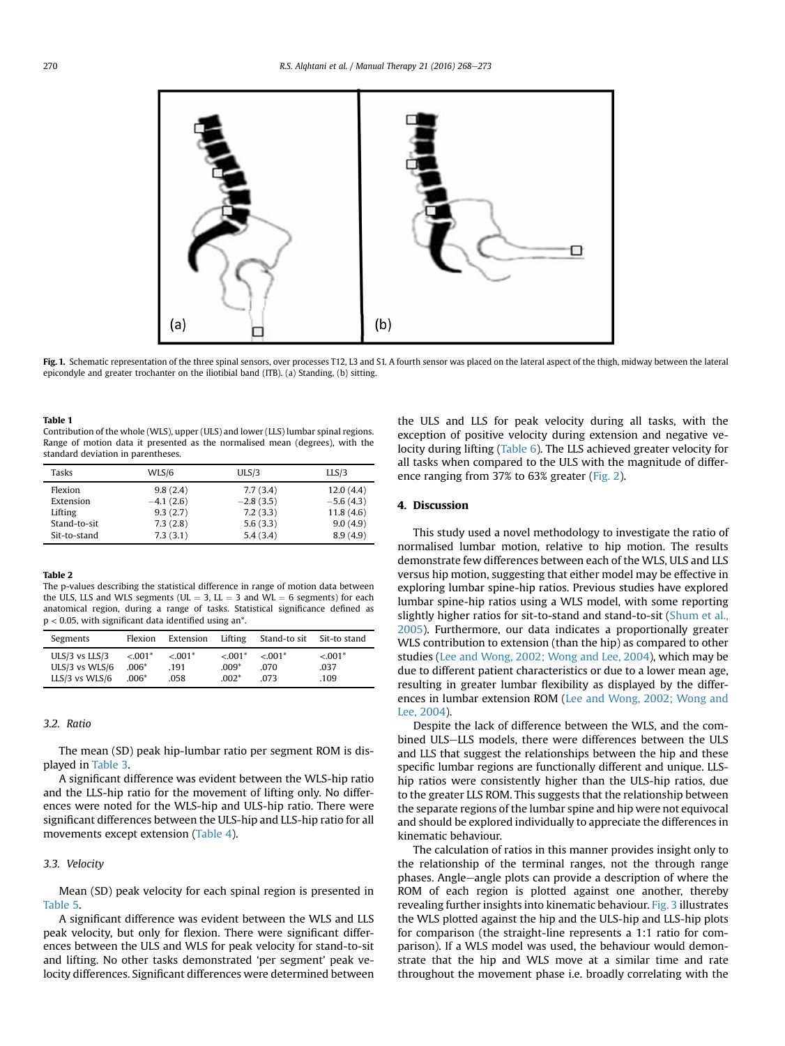<span id="page-2-0"></span>

Fig. 1. Schematic representation of the three spinal sensors, over processes T12, L3 and S1. A fourth sensor was placed on the lateral aspect of the thigh, midway between the lateral epicondyle and greater trochanter on the iliotibial band (ITB). (a) Standing, (b) sitting.

#### Table 1

Contribution of the whole (WLS), upper (ULS) and lower (LLS) lumbar spinal regions. Range of motion data it presented as the normalised mean (degrees), with the standard deviation in parentheses.

| Tasks        | WLS/6       | ULS/3       | LLS/3       |
|--------------|-------------|-------------|-------------|
| Flexion      | 9.8(2.4)    | 7.7(3.4)    | 12.0(4.4)   |
| Extension    | $-4.1(2.6)$ | $-2.8(3.5)$ | $-5.6(4.3)$ |
| Lifting      | 9.3(2.7)    | 7.2(3.3)    | 11.8(4.6)   |
| Stand-to-sit | 7.3(2.8)    | 5.6(3.3)    | 9.0(4.9)    |
| Sit-to-stand | 7.3(3.1)    | 5.4(3.4)    | 8.9(4.9)    |

#### Table 2

The p-values describing the statistical difference in range of motion data between the ULS, LLS and WLS segments (UL  $=$  3, LL  $=$  3 and WL  $=$  6 segments) for each anatomical region, during a range of tasks. Statistical significance defined as  $p < 0.05$ , with significant data identified using an<sup>\*</sup>

| Segments           | Flexion     | Extension | Lifting   | Stand-to sit | Sit-to stand |
|--------------------|-------------|-----------|-----------|--------------|--------------|
| $ULS/3$ vs $LLS/3$ | $< 0.001$ * | $< 0.01*$ | $< 0.01*$ | $< 0.01$ *   | $< 0.001$ *  |
| ULS/3 vs WLS/6     | $.006*$     | .191      | $.009*$   | .070         | .037         |
| LLS/3 vs WLS/6     | $.006*$     | .058      | $.002*$   | 073          | .109         |

## 3.2. Ratio

The mean (SD) peak hip-lumbar ratio per segment ROM is displayed in [Table 3](#page-3-0).

A significant difference was evident between the WLS-hip ratio and the LLS-hip ratio for the movement of lifting only. No differences were noted for the WLS-hip and ULS-hip ratio. There were significant differences between the ULS-hip and LLS-hip ratio for all movements except extension ([Table 4\)](#page-3-0).

# 3.3. Velocity

Mean (SD) peak velocity for each spinal region is presented in [Table 5.](#page-3-0)

A significant difference was evident between the WLS and LLS peak velocity, but only for flexion. There were significant differences between the ULS and WLS for peak velocity for stand-to-sit and lifting. No other tasks demonstrated 'per segment' peak velocity differences. Significant differences were determined between the ULS and LLS for peak velocity during all tasks, with the exception of positive velocity during extension and negative velocity during lifting [\(Table 6](#page-3-0)). The LLS achieved greater velocity for all tasks when compared to the ULS with the magnitude of difference ranging from 37% to 63% greater [\(Fig. 2](#page-3-0)).

## 4. Discussion

This study used a novel methodology to investigate the ratio of normalised lumbar motion, relative to hip motion. The results demonstrate few differences between each of the WLS, ULS and LLS versus hip motion, suggesting that either model may be effective in exploring lumbar spine-hip ratios. Previous studies have explored lumbar spine-hip ratios using a WLS model, with some reporting slightly higher ratios for sit-to-stand and stand-to-sit [\(Shum et al.,](#page-5-0) [2005](#page-5-0)). Furthermore, our data indicates a proportionally greater WLS contribution to extension (than the hip) as compared to other studies ([Lee and Wong, 2002; Wong and Lee, 2004\)](#page-5-0), which may be due to different patient characteristics or due to a lower mean age, resulting in greater lumbar flexibility as displayed by the differences in lumbar extension ROM [\(Lee and Wong, 2002; Wong and](#page-5-0) [Lee, 2004](#page-5-0)).

Despite the lack of difference between the WLS, and the combined ULS-LLS models, there were differences between the ULS and LLS that suggest the relationships between the hip and these specific lumbar regions are functionally different and unique. LLShip ratios were consistently higher than the ULS-hip ratios, due to the greater LLS ROM. This suggests that the relationship between the separate regions of the lumbar spine and hip were not equivocal and should be explored individually to appreciate the differences in kinematic behaviour.

The calculation of ratios in this manner provides insight only to the relationship of the terminal ranges, not the through range phases. Angle-angle plots can provide a description of where the ROM of each region is plotted against one another, thereby revealing further insights into kinematic behaviour. [Fig. 3](#page-4-0) illustrates the WLS plotted against the hip and the ULS-hip and LLS-hip plots for comparison (the straight-line represents a 1:1 ratio for comparison). If a WLS model was used, the behaviour would demonstrate that the hip and WLS move at a similar time and rate throughout the movement phase i.e. broadly correlating with the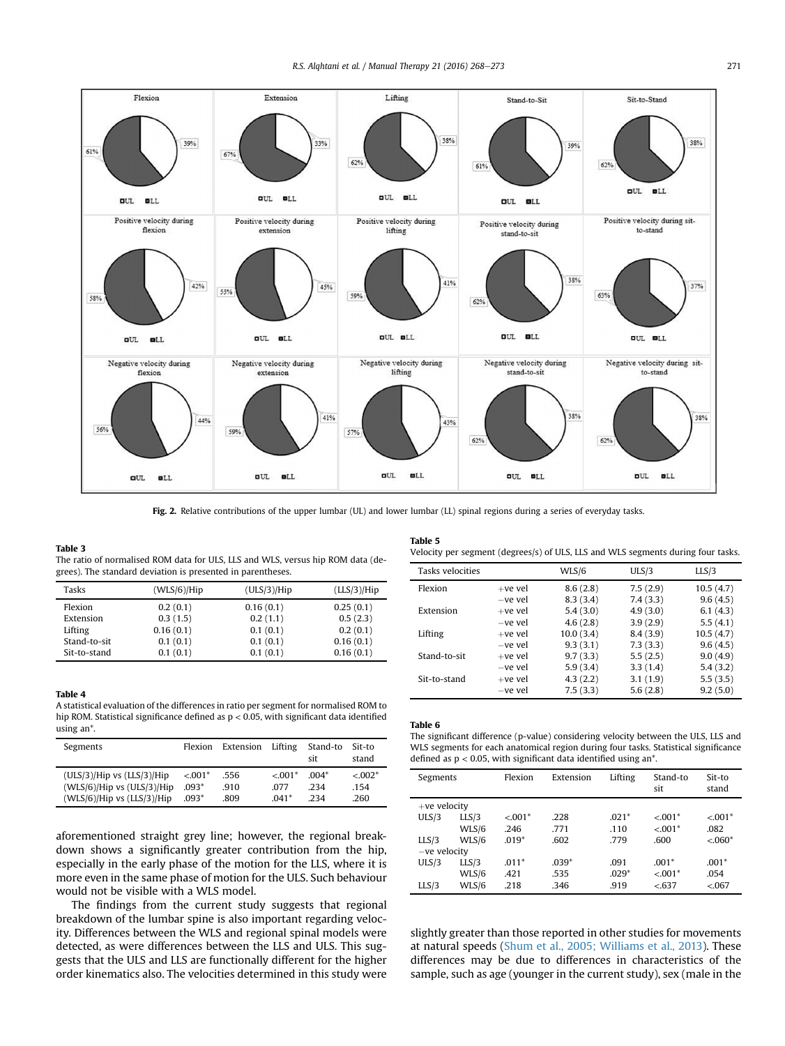<span id="page-3-0"></span>

Fig. 2. Relative contributions of the upper lumbar (UL) and lower lumbar (LL) spinal regions during a series of everyday tasks.

#### Table 3

The ratio of normalised ROM data for ULS, LLS and WLS, versus hip ROM data (degrees). The standard deviation is presented in parentheses.

| Tasks        | (WLS/6)/Hip | (ULS/3)/Hip | (LLS/3)/Hip |
|--------------|-------------|-------------|-------------|
| Flexion      | 0.2(0.1)    | 0.16(0.1)   | 0.25(0.1)   |
| Extension    | 0.3(1.5)    | 0.2(1.1)    | 0.5(2.3)    |
| Lifting      | 0.16(0.1)   | 0.1(0.1)    | 0.2(0.1)    |
| Stand-to-sit | 0.1(0.1)    | 0.1(0.1)    | 0.16(0.1)   |
| Sit-to-stand | 0.1(0.1)    | 0.1(0.1)    | 0.16(0.1)   |

## Table 4

A statistical evaluation of the differences in ratio per segment for normalised ROM to hip ROM. Statistical significance defined as p < 0.05, with significant data identified using an\*.

| Segments                       | <b>Flexion</b> | Extension | Lifting   | Stand-to<br>sit | Sit-to<br>stand |
|--------------------------------|----------------|-----------|-----------|-----------------|-----------------|
| $(ULS/3)/Hip$ vs $(LLS/3)/Hip$ | $< 0.01*$      | .556      | $< 0.01*$ | $004*$          | $< 0.002*$      |
| (WLS/6)/Hip vs (ULS/3)/Hip     | $.093*$        | .910      | 077       | 234             | .154            |
| $(WLS/6)/Hip$ vs $(LLS/3)/Hip$ | $.093*$        | .809      | $041*$    | 234             | .260            |

aforementioned straight grey line; however, the regional breakdown shows a significantly greater contribution from the hip, especially in the early phase of the motion for the LLS, where it is more even in the same phase of motion for the ULS. Such behaviour would not be visible with a WLS model.

The findings from the current study suggests that regional breakdown of the lumbar spine is also important regarding velocity. Differences between the WLS and regional spinal models were detected, as were differences between the LLS and ULS. This suggests that the ULS and LLS are functionally different for the higher order kinematics also. The velocities determined in this study were

# Table 5

Velocity per segment (degrees/s) of ULS, LLS and WLS segments during four tasks.

| Tasks velocities |           | WLS/6     | ULS/3    | LLS/3     |
|------------------|-----------|-----------|----------|-----------|
| Flexion          | $+ve$ vel | 8.6(2.8)  | 7.5(2.9) | 10.5(4.7) |
|                  | -ve vel   | 8.3(3.4)  | 7.4(3.3) | 9.6(4.5)  |
| Extension        | $+ve$ vel | 5.4(3.0)  | 4.9(3.0) | 6.1(4.3)  |
|                  | -ve vel   | 4.6(2.8)  | 3.9(2.9) | 5.5(4.1)  |
| Lifting          | $+ve$ vel | 10.0(3.4) | 8.4(3.9) | 10.5(4.7) |
|                  | -ve vel   | 9.3(3.1)  | 7.3(3.3) | 9.6(4.5)  |
| Stand-to-sit     | $+ve$ vel | 9.7(3.3)  | 5.5(2.5) | 9.0(4.9)  |
|                  | -ve vel   | 5.9(3.4)  | 3.3(1.4) | 5.4(3.2)  |
| Sit-to-stand     | $+ve$ vel | 4.3(2.2)  | 3.1(1.9) | 5.5(3.5)  |
|                  | -ve vel   | 7.5(3.3)  | 5.6(2.8) | 9.2(5.0)  |

#### Table 6

The significant difference (p-value) considering velocity between the ULS, LLS and WLS segments for each anatomical region during four tasks. Statistical significance defined as  $p < 0.05$ , with significant data identified using an\*.

| Segments       |       | Flexion   | Extension | Lifting | Stand-to<br>sit | Sit-to<br>stand |
|----------------|-------|-----------|-----------|---------|-----------------|-----------------|
| $+ve$ velocity |       |           |           |         |                 |                 |
| ULS/3          | LLS/3 | $< 0.01*$ | .228      | $.021*$ | $< 0.01$ *      | $< 0.01*$       |
|                | WLS/6 | .246      | .771      | .110    | $< 0.01$ *      | .082            |
| LLS/3          | WLS/6 | $.019*$   | .602      | .779    | .600            | $< 0.060*$      |
| -ve velocity   |       |           |           |         |                 |                 |
| ULS/3          | LLS/3 | $.011*$   | $.039*$   | .091    | $.001*$         | $.001*$         |
|                | WLS/6 | .421      | .535      | $.029*$ | $< 0.01$ *      | .054            |
| LLS/3          | WLS/6 | .218      | .346      | .919    | < 637           | < 067           |

slightly greater than those reported in other studies for movements at natural speeds ([Shum et al., 2005; Williams et al., 2013](#page-5-0)). These differences may be due to differences in characteristics of the sample, such as age (younger in the current study), sex (male in the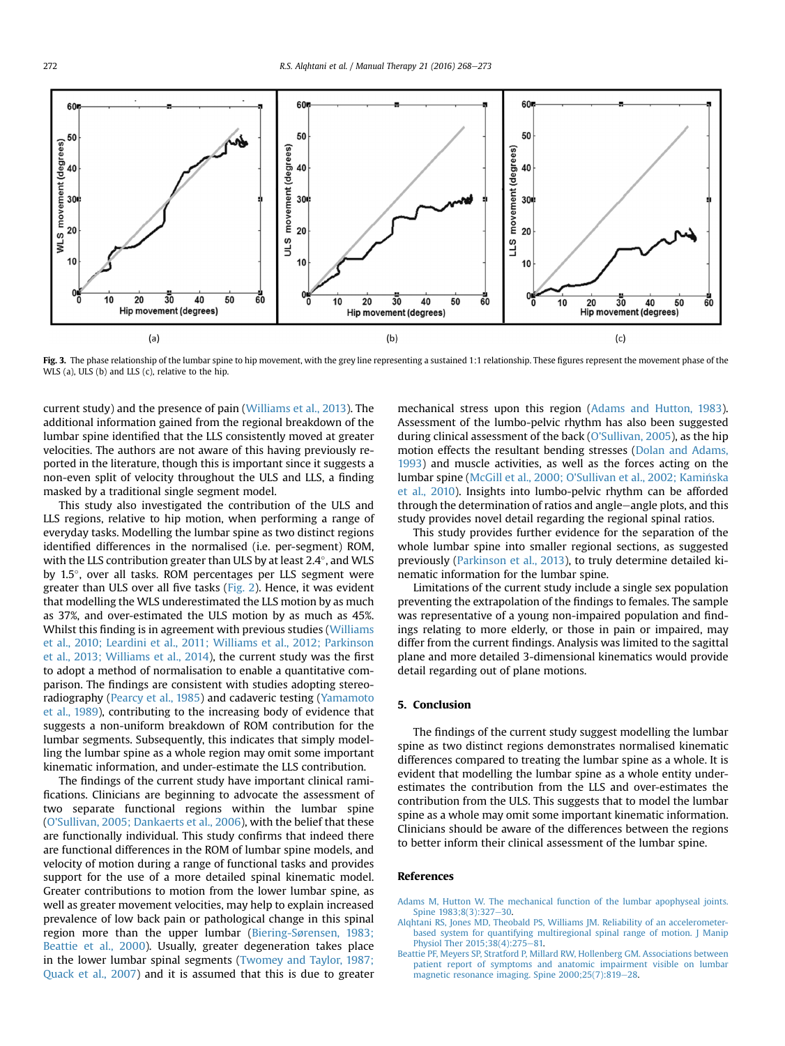<span id="page-4-0"></span>

Fig. 3. The phase relationship of the lumbar spine to hip movement, with the grey line representing a sustained 1:1 relationship. These figures represent the movement phase of the WLS (a), ULS (b) and LLS (c), relative to the hip.

current study) and the presence of pain ([Williams et al., 2013\)](#page-5-0). The additional information gained from the regional breakdown of the lumbar spine identified that the LLS consistently moved at greater velocities. The authors are not aware of this having previously reported in the literature, though this is important since it suggests a non-even split of velocity throughout the ULS and LLS, a finding masked by a traditional single segment model.

This study also investigated the contribution of the ULS and LLS regions, relative to hip motion, when performing a range of everyday tasks. Modelling the lumbar spine as two distinct regions identified differences in the normalised (i.e. per-segment) ROM, with the LLS contribution greater than ULS by at least 2.4 $^{\circ}$ , and WLS by 1.5°, over all tasks. ROM percentages per LLS segment were greater than ULS over all five tasks ([Fig. 2](#page-3-0)). Hence, it was evident that modelling the WLS underestimated the LLS motion by as much as 37%, and over-estimated the ULS motion by as much as 45%. Whilst this finding is in agreement with previous studies [\(Williams](#page-5-0) [et al., 2010; Leardini et al., 2011; Williams et al., 2012; Parkinson](#page-5-0) [et al., 2013; Williams et al., 2014\)](#page-5-0), the current study was the first to adopt a method of normalisation to enable a quantitative comparison. The findings are consistent with studies adopting stereoradiography [\(Pearcy et al., 1985\)](#page-5-0) and cadaveric testing ([Yamamoto](#page-5-0) [et al., 1989](#page-5-0)), contributing to the increasing body of evidence that suggests a non-uniform breakdown of ROM contribution for the lumbar segments. Subsequently, this indicates that simply modelling the lumbar spine as a whole region may omit some important kinematic information, and under-estimate the LLS contribution.

The findings of the current study have important clinical ramifications. Clinicians are beginning to advocate the assessment of two separate functional regions within the lumbar spine ([O'Sullivan, 2005; Dankaerts et al., 2006\)](#page-5-0), with the belief that these are functionally individual. This study confirms that indeed there are functional differences in the ROM of lumbar spine models, and velocity of motion during a range of functional tasks and provides support for the use of a more detailed spinal kinematic model. Greater contributions to motion from the lower lumbar spine, as well as greater movement velocities, may help to explain increased prevalence of low back pain or pathological change in this spinal region more than the upper lumbar [\(Biering-Sørensen, 1983;](#page-5-0) [Beattie et al., 2000](#page-5-0)). Usually, greater degeneration takes place in the lower lumbar spinal segments [\(Twomey and Taylor, 1987;](#page-5-0) [Quack et al., 2007](#page-5-0)) and it is assumed that this is due to greater mechanical stress upon this region (Adams and Hutton, 1983). Assessment of the lumbo-pelvic rhythm has also been suggested during clinical assessment of the back ([O'Sullivan, 2005](#page-5-0)), as the hip motion effects the resultant bending stresses [\(Dolan and Adams,](#page-5-0) [1993](#page-5-0)) and muscle activities, as well as the forces acting on the lumbar spine ([McGill et al., 2000; O'Sullivan et al., 2002; Kaminska](#page-5-0) [et al., 2010](#page-5-0)). Insights into lumbo-pelvic rhythm can be afforded through the determination of ratios and angle-angle plots, and this study provides novel detail regarding the regional spinal ratios.

This study provides further evidence for the separation of the whole lumbar spine into smaller regional sections, as suggested previously ([Parkinson et al., 2013\)](#page-5-0), to truly determine detailed kinematic information for the lumbar spine.

Limitations of the current study include a single sex population preventing the extrapolation of the findings to females. The sample was representative of a young non-impaired population and findings relating to more elderly, or those in pain or impaired, may differ from the current findings. Analysis was limited to the sagittal plane and more detailed 3-dimensional kinematics would provide detail regarding out of plane motions.

# 5. Conclusion

The findings of the current study suggest modelling the lumbar spine as two distinct regions demonstrates normalised kinematic differences compared to treating the lumbar spine as a whole. It is evident that modelling the lumbar spine as a whole entity underestimates the contribution from the LLS and over-estimates the contribution from the ULS. This suggests that to model the lumbar spine as a whole may omit some important kinematic information. Clinicians should be aware of the differences between the regions to better inform their clinical assessment of the lumbar spine.

## References

- [Adams M, Hutton W. The mechanical function of the lumbar apophyseal joints.](http://refhub.elsevier.com/S1356-689X(15)00188-5/sref1) Spine 1983:8(3):327-[30](http://refhub.elsevier.com/S1356-689X(15)00188-5/sref1).
- [Alqhtani RS, Jones MD, Theobald PS, Williams JM. Reliability of an accelerometer](http://refhub.elsevier.com/S1356-689X(15)00188-5/sref3)[based system for quantifying multiregional spinal range of motion. J Manip](http://refhub.elsevier.com/S1356-689X(15)00188-5/sref3) [Physiol Ther 2015;38\(4\):275](http://refhub.elsevier.com/S1356-689X(15)00188-5/sref3)-[81.](http://refhub.elsevier.com/S1356-689X(15)00188-5/sref3)
- [Beattie PF, Meyers SP, Stratford P, Millard RW, Hollenberg GM. Associations between](http://refhub.elsevier.com/S1356-689X(15)00188-5/sref5) [patient report of symptoms and anatomic impairment visible on lumbar](http://refhub.elsevier.com/S1356-689X(15)00188-5/sref5) [magnetic resonance imaging. Spine 2000;25\(7\):819](http://refhub.elsevier.com/S1356-689X(15)00188-5/sref5)-[28.](http://refhub.elsevier.com/S1356-689X(15)00188-5/sref5)